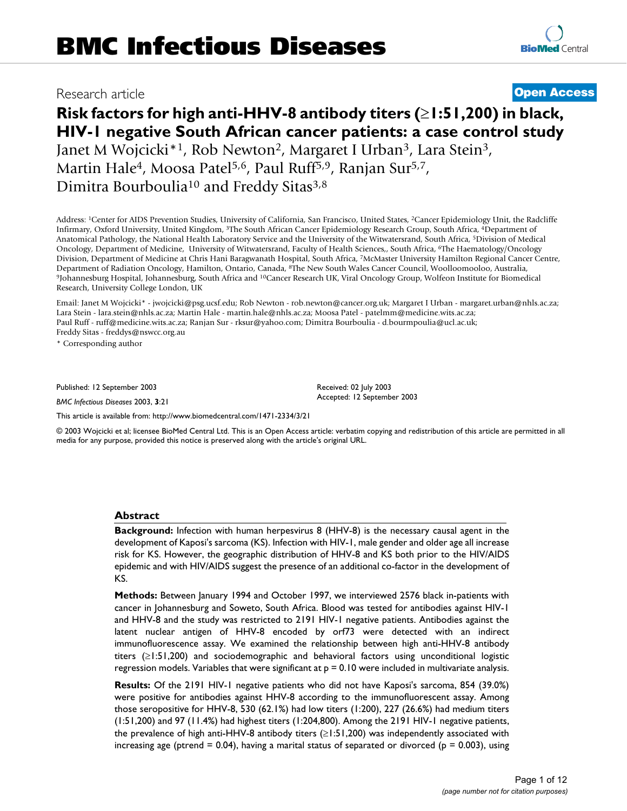## Research article **[Open Access](http://www.biomedcentral.com/info/about/charter/)**

# **Risk factors for high anti-HHV-8 antibody titers (**≥**1:51,200) in black, HIV-1 negative South African cancer patients: a case control study** Janet M Wojcicki<sup>\*1</sup>, Rob Newton<sup>2</sup>, Margaret I Urban<sup>3</sup>, Lara Stein<sup>3</sup>, Martin Hale<sup>4</sup>, Moosa Patel<sup>5,6</sup>, Paul Ruff<sup>5,9</sup>, Ranjan Sur<sup>5,7</sup>,

Dimitra Bourboulia<sup>10</sup> and Freddy Sitas<sup>3,8</sup>

Address: 1Center for AIDS Prevention Studies, University of California, San Francisco, United States, 2Cancer Epidemiology Unit, the Radcliffe Infirmary, Oxford University, United Kingdom, 3The South African Cancer Epidemiology Research Group, South Africa, 4Department of Anatomical Pathology, the National Health Laboratory Service and the University of the Witwatersrand, South Africa, 5Division of Medical Oncology, Department of Medicine, University of Witwatersrand, Faculty of Health Sciences,, South Africa, 6The Haematology/Oncology Division, Department of Medicine at Chris Hani Baragwanath Hospital, South Africa, 7McMaster University Hamilton Regional Cancer Centre, Department of Radiation Oncology, Hamilton, Ontario, Canada, <sup>8</sup>The New South Wales C <sup>9</sup>Johannesburg Hospital, Johannesburg, South Africa and <sup>10</sup>Cancer Research UK, Viral Oncology Group, Wolfeon Institute for Biomedical Research, University College London, UK

Email: Janet M Wojcicki\* - jwojcicki@psg.ucsf.edu; Rob Newton - rob.newton@cancer.org.uk; Margaret I Urban - margaret.urban@nhls.ac.za; Lara Stein - lara.stein@nhls.ac.za; Martin Hale - martin.hale@nhls.ac.za; Moosa Patel - patelmm@medicine.wits.ac.za; Paul Ruff - ruff@medicine.wits.ac.za; Ranjan Sur - rksur@yahoo.com; Dimitra Bourboulia - d.bourmpoulia@ucl.ac.uk; Freddy Sitas - freddys@nswcc.org.au

\* Corresponding author

Published: 12 September 2003

*BMC Infectious Diseases* 2003, **3**:21

[This article is available from: http://www.biomedcentral.com/1471-2334/3/21](http://www.biomedcentral.com/1471-2334/3/21)

© 2003 Wojcicki et al; licensee BioMed Central Ltd. This is an Open Access article: verbatim copying and redistribution of this article are permitted in all media for any purpose, provided this notice is preserved along with the article's original URL.

Received: 02 July 2003 Accepted: 12 September 2003

#### **Abstract**

**Background:** Infection with human herpesvirus 8 (HHV-8) is the necessary causal agent in the development of Kaposi's sarcoma (KS). Infection with HIV-1, male gender and older age all increase risk for KS. However, the geographic distribution of HHV-8 and KS both prior to the HIV/AIDS epidemic and with HIV/AIDS suggest the presence of an additional co-factor in the development of KS.

**Methods:** Between January 1994 and October 1997, we interviewed 2576 black in-patients with cancer in Johannesburg and Soweto, South Africa. Blood was tested for antibodies against HIV-1 and HHV-8 and the study was restricted to 2191 HIV-1 negative patients. Antibodies against the latent nuclear antigen of HHV-8 encoded by orf73 were detected with an indirect immunofluorescence assay. We examined the relationship between high anti-HHV-8 antibody titers (≥1:51,200) and sociodemographic and behavioral factors using unconditional logistic regression models. Variables that were significant at  $p = 0.10$  were included in multivariate analysis.

**Results:** Of the 2191 HIV-1 negative patients who did not have Kaposi's sarcoma, 854 (39.0%) were positive for antibodies against HHV-8 according to the immunofluorescent assay. Among those seropositive for HHV-8, 530 (62.1%) had low titers (1:200), 227 (26.6%) had medium titers (1:51,200) and 97 (11.4%) had highest titers (1:204,800). Among the 2191 HIV-1 negative patients, the prevalence of high anti-HHV-8 antibody titers (≥1:51,200) was independently associated with increasing age (ptrend  $= 0.04$ ), having a marital status of separated or divorced ( $p = 0.003$ ), using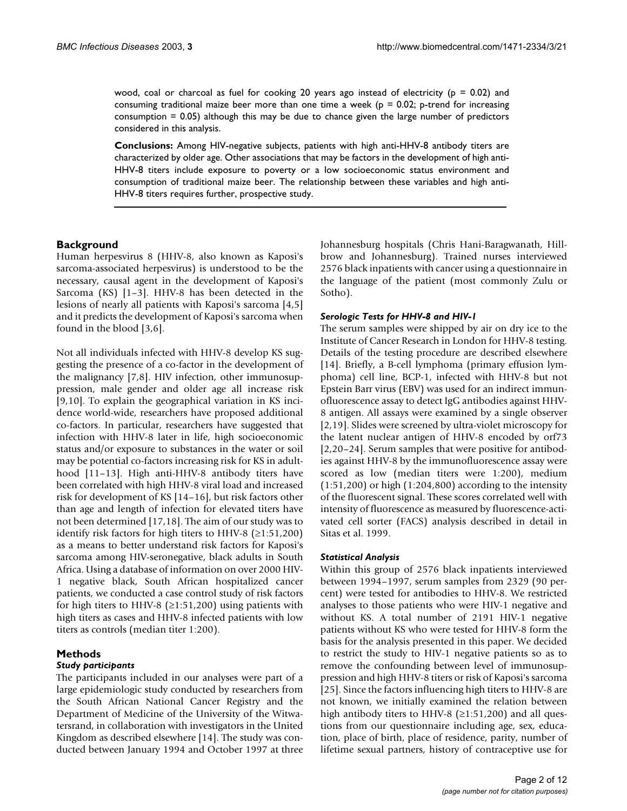wood, coal or charcoal as fuel for cooking 20 years ago instead of electricity ( $p = 0.02$ ) and consuming traditional maize beer more than one time a week ( $p = 0.02$ ; p-trend for increasing consumption = 0.05) although this may be due to chance given the large number of predictors considered in this analysis.

**Conclusions:** Among HIV-negative subjects, patients with high anti-HHV-8 antibody titers are characterized by older age. Other associations that may be factors in the development of high anti-HHV-8 titers include exposure to poverty or a low socioeconomic status environment and consumption of traditional maize beer. The relationship between these variables and high anti-HHV-8 titers requires further, prospective study.

#### **Background**

Human herpesvirus 8 (HHV-8, also known as Kaposi's sarcoma-associated herpesvirus) is understood to be the necessary, causal agent in the development of Kaposi's Sarcoma (KS) [1–3]. HHV-8 has been detected in the lesions of nearly all patients with Kaposi's sarcoma [4,5] and it predicts the development of Kaposi's sarcoma when found in the blood [3,6].

Not all individuals infected with HHV-8 develop KS suggesting the presence of a co-factor in the development of the malignancy [7,8]. HIV infection, other immunosuppression, male gender and older age all increase risk [9,10]. To explain the geographical variation in KS incidence world-wide, researchers have proposed additional co-factors. In particular, researchers have suggested that infection with HHV-8 later in life, high socioeconomic status and/or exposure to substances in the water or soil may be potential co-factors increasing risk for KS in adulthood [11–13]. High anti-HHV-8 antibody titers have been correlated with high HHV-8 viral load and increased risk for development of KS [14–16], but risk factors other than age and length of infection for elevated titers have not been determined [17,18]. The aim of our study was to identify risk factors for high titers to HHV-8  $(≥1:51,200)$ as a means to better understand risk factors for Kaposi's sarcoma among HIV-seronegative, black adults in South Africa. Using a database of information on over 2000 HIV-1 negative black, South African hospitalized cancer patients, we conducted a case control study of risk factors for high titers to HHV-8 ( $\geq$ 1:51,200) using patients with high titers as cases and HHV-8 infected patients with low titers as controls (median titer 1:200).

#### **Methods**

#### *Study participants*

The participants included in our analyses were part of a large epidemiologic study conducted by researchers from the South African National Cancer Registry and the Department of Medicine of the University of the Witwatersrand, in collaboration with investigators in the United Kingdom as described elsewhere [14]. The study was conducted between January 1994 and October 1997 at three Johannesburg hospitals (Chris Hani-Baragwanath, Hillbrow and Johannesburg). Trained nurses interviewed 2576 black inpatients with cancer using a questionnaire in the language of the patient (most commonly Zulu or Sotho).

#### *Serologic Tests for HHV-8 and HIV-1*

The serum samples were shipped by air on dry ice to the Institute of Cancer Research in London for HHV-8 testing. Details of the testing procedure are described elsewhere [14]. Briefly, a B-cell lymphoma (primary effusion lymphoma) cell line, BCP-1, infected with HHV-8 but not Epstein Barr virus (EBV) was used for an indirect immunofluorescence assay to detect IgG antibodies against HHV-8 antigen. All assays were examined by a single observer [2,19]. Slides were screened by ultra-violet microscopy for the latent nuclear antigen of HHV-8 encoded by orf73 [2,20–24]. Serum samples that were positive for antibodies against HHV-8 by the immunofluorescence assay were scored as low (median titers were 1:200), medium (1:51,200) or high (1:204,800) according to the intensity of the fluorescent signal. These scores correlated well with intensity of fluorescence as measured by fluorescence-activated cell sorter (FACS) analysis described in detail in Sitas et al. 1999.

#### *Statistical Analysis*

Within this group of 2576 black inpatients interviewed between 1994–1997, serum samples from 2329 (90 percent) were tested for antibodies to HHV-8. We restricted analyses to those patients who were HIV-1 negative and without KS. A total number of 2191 HIV-1 negative patients without KS who were tested for HHV-8 form the basis for the analysis presented in this paper. We decided to restrict the study to HIV-1 negative patients so as to remove the confounding between level of immunosuppression and high HHV-8 titers or risk of Kaposi's sarcoma [25]. Since the factors influencing high titers to HHV-8 are not known, we initially examined the relation between high antibody titers to HHV-8 ( $\geq$ 1:51,200) and all questions from our questionnaire including age, sex, education, place of birth, place of residence, parity, number of lifetime sexual partners, history of contraceptive use for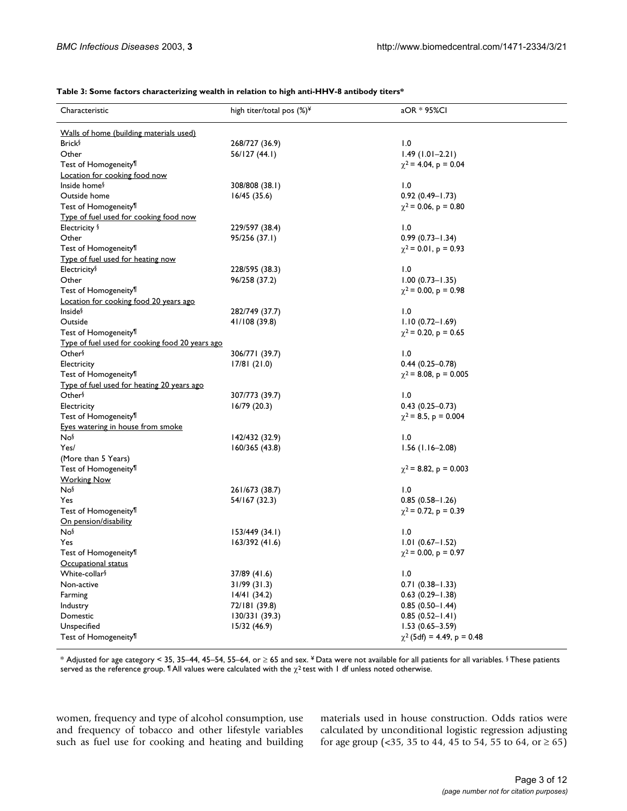|  |  | Table 3: Some factors characterizing wealth in relation to high anti-HHV-8 antibody titers* |  |
|--|--|---------------------------------------------------------------------------------------------|--|
|--|--|---------------------------------------------------------------------------------------------|--|

| Characteristic                                  | high titer/total pos (%) <sup>¥</sup> | aOR * 95%CI                     |
|-------------------------------------------------|---------------------------------------|---------------------------------|
| Walls of home (building materials used)         |                                       |                                 |
| <b>Brick</b> §                                  | 268/727 (36.9)                        | 1.0                             |
| Other                                           | 56/127 (44.1)                         | $1.49(1.01 - 2.21)$             |
| Test of Homogeneity <sup>¶</sup>                |                                       | $\chi^2$ = 4.04, p = 0.04       |
| Location for cooking food now                   |                                       |                                 |
| Inside home <sup>§</sup>                        | 308/808 (38.1)                        | 1.0                             |
| Outside home                                    | 16/45(35.6)                           | $0.92(0.49 - 1.73)$             |
| Test of Homogeneity <sup>¶</sup>                |                                       | $\chi^2$ = 0.06, p = 0.80       |
| Type of fuel used for cooking food now          |                                       |                                 |
| Electricity §                                   | 229/597 (38.4)                        | 1.0                             |
| Other                                           | 95/256 (37.1)                         | $0.99(0.73 - 1.34)$             |
| Test of Homogeneity <sup>¶</sup>                |                                       | $\chi^2$ = 0.01, p = 0.93       |
| Type of fuel used for heating now               |                                       |                                 |
| Electricity§                                    | 228/595 (38.3)                        | 1.0                             |
| Other                                           | 96/258 (37.2)                         | $1.00(0.73 - 1.35)$             |
| Test of Homogeneity <sup>¶</sup>                |                                       | $\chi^2$ = 0.00, p = 0.98       |
| Location for cooking food 20 years ago          |                                       |                                 |
| Inside <sup>§</sup>                             | 282/749 (37.7)                        | 1.0                             |
| Outside                                         | 41/108 (39.8)                         | $1.10(0.72 - 1.69)$             |
| Test of Homogeneity <sup>¶</sup>                |                                       | $\chi^2$ = 0.20, p = 0.65       |
| Type of fuel used for cooking food 20 years ago |                                       |                                 |
| Other                                           | 306/771 (39.7)                        | 1.0                             |
| Electricity                                     | 17/81(21.0)                           | $0.44(0.25 - 0.78)$             |
| Test of Homogeneity <sup>¶</sup>                |                                       | $\chi^2$ = 8.08, p = 0.005      |
| Type of fuel used for heating 20 years ago      |                                       |                                 |
| Other <sup>§</sup>                              | 307/773 (39.7)                        | 1.0                             |
| Electricity                                     | 16/79(20.3)                           | $0.43(0.25 - 0.73)$             |
| Test of Homogeneity <sup>¶</sup>                |                                       | $\chi^2$ = 8.5, p = 0.004       |
| Eyes watering in house from smoke               |                                       |                                 |
| Nos                                             | 142/432 (32.9)                        | 1.0                             |
| Yes/                                            | 160/365 (43.8)                        | $1.56(1.16-2.08)$               |
| (More than 5 Years)                             |                                       |                                 |
| Test of Homogeneity <sup>¶</sup>                |                                       | $\chi^2$ = 8.82, p = 0.003      |
| <b>Working Now</b>                              |                                       |                                 |
| Nos                                             | 261/673 (38.7)                        | 1.0                             |
| Yes                                             | 54/167 (32.3)                         | $0.85(0.58 - 1.26)$             |
| Test of Homogeneity <sup>¶</sup>                |                                       | $\chi^2$ = 0.72, p = 0.39       |
| <u>On pension/disability</u>                    |                                       |                                 |
| Nos                                             | 153/449 (34.1)                        | 1.0                             |
| Yes                                             | 163/392 (41.6)                        | $1.01(0.67 - 1.52)$             |
| Test of Homogeneity <sup>11</sup>               |                                       | $\chi^2$ = 0.00, p = 0.97       |
| Occupational status                             |                                       |                                 |
| White-collar <sup>§</sup>                       | 37/89 (41.6)                          | 1.0                             |
| Non-active                                      | 31/99(31.3)                           | $0.71(0.38 - 1.33)$             |
| Farming                                         | 14/41(34.2)                           | $0.63$ (0.29-1.38)              |
| Industry                                        | 72/181 (39.8)                         | $0.85(0.50 - 1.44)$             |
| Domestic                                        | 130/331 (39.3)                        | $0.85(0.52 - 1.41)$             |
| Unspecified                                     | 15/32 (46.9)                          | $1.53(0.65 - 3.59)$             |
| Test of Homogeneity <sup>¶</sup>                |                                       | $\chi^2$ (5df) = 4.49, p = 0.48 |
|                                                 |                                       |                                 |

\* Adjusted for age category < 35, 35–44, 45–54, 55–64, or ≥ 65 and sex. ¥ Data were not available for all patients for all variables. § These patients served as the reference group.  $\P$  All values were calculated with the  $\chi^2$  test with 1 df unless noted otherwise.

women, frequency and type of alcohol consumption, use and frequency of tobacco and other lifestyle variables such as fuel use for cooking and heating and building materials used in house construction. Odds ratios were calculated by unconditional logistic regression adjusting for age group (<35, 35 to 44, 45 to 54, 55 to 64, or  $\geq$  65)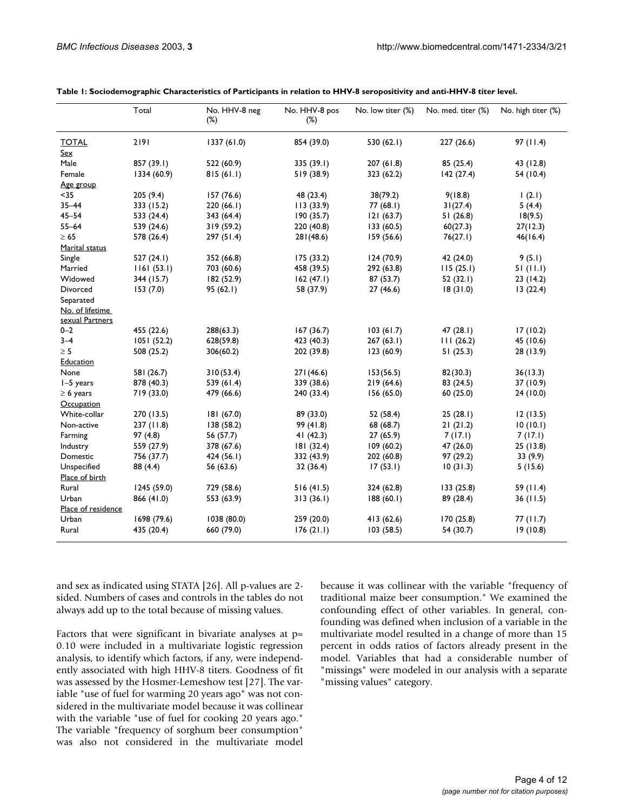|                                    | Total       | No. HHV-8 neg<br>$(\%)$ | No. HHV-8 pos<br>$(\%)$ | No. low titer (%) | No. med. titer (%) | No. high titer (%) |
|------------------------------------|-------------|-------------------------|-------------------------|-------------------|--------------------|--------------------|
| <b>TOTAL</b>                       | 2191        | 1337(61.0)              | 854 (39.0)              | 530 (62.1)        | 227(26.6)          | 97(11.4)           |
| <u>Sex</u>                         |             |                         |                         |                   |                    |                    |
| Male                               | 857 (39.1)  | 522 (60.9)              | 335 (39.1)              | 207 (61.8)        | 85 (25.4)          | 43 (12.8)          |
| Female                             | 1334 (60.9) | 815(61.1)               | 519 (38.9)              | 323 (62.2)        | 142(27.4)          | 54 (10.4)          |
| Age group                          |             |                         |                         |                   |                    |                    |
| $35$                               | 205(9.4)    | 157(76.6)               | 48 (23.4)               | 38(79.2)          | 9(18.8)            | (2.1)              |
| $35 - 44$                          | 333 (15.2)  | 220(66.1)               | 113(33.9)               | 77(68.1)          | 31(27.4)           | 5(4.4)             |
| $45 - 54$                          | 533 (24.4)  | 343 (64.4)              | 190 (35.7)              | 121(63.7)         | 51(26.8)           | 18(9.5)            |
| $55 - 64$                          | 539 (24.6)  | 319(59.2)               | 220 (40.8)              | 133(60.5)         | 60(27.3)           | 27(12.3)           |
| $\geq 65$                          | 578 (26.4)  | 297(51.4)               | 281(48.6)               | 159 (56.6)        | 76(27.1)           | 46(16.4)           |
| Marital status                     |             |                         |                         |                   |                    |                    |
| Single                             | 527(24.1)   | 352 (66.8)              | 175(33.2)               | 124(70.9)         | 42 (24.0)          | 9(5.1)             |
| Married                            | 1161(53.1)  | 703 (60.6)              | 458 (39.5)              | 292 (63.8)        | 115(25.1)          | 51(11.1)           |
| Widowed                            | 344 (15.7)  | 182 (52.9)              | 162(47.1)               | 87(53.7)          | 52(32.1)           | 23(14.2)           |
| Divorced                           | 153(7.0)    | 95(62.1)                | 58 (37.9)               | 27(46.6)          | 18(31.0)           | 13(22.4)           |
| Separated                          |             |                         |                         |                   |                    |                    |
| No. of lifetime<br>sexual Partners |             |                         |                         |                   |                    |                    |
| $0 - 2$                            | 455 (22.6)  | 288(63.3)               | 167(36.7)               | 103(61.7)         | 47(28.1)           | 17(10.2)           |
| $3 - 4$                            | 1051(52.2)  | 628(59.8)               | 423 (40.3)              | 267(63.1)         | 111(26.2)          | 45 (10.6)          |
| $\geq 5$                           | 508 (25.2)  | 306(60.2)               | 202 (39.8)              | 123(60.9)         | 51(25.3)           | 28 (13.9)          |
| <b>Education</b>                   |             |                         |                         |                   |                    |                    |
| None                               | 581 (26.7)  | 310(53.4)               | 271(46.6)               | 153(56.5)         | 82(30.3)           | 36(13.3)           |
| $I-5$ years                        | 878 (40.3)  | 539 (61.4)              | 339 (38.6)              | 219(64.6)         | 83 (24.5)          | 37 (10.9)          |
| $\geq 6$ years                     | 719 (33.0)  | 479 (66.6)              | 240 (33.4)              | 156(65.0)         | 60 (25.0)          | 24(10.0)           |
| Occupation                         |             |                         |                         |                   |                    |                    |
| White-collar                       | 270 (13.5)  | 181(67.0)               | 89 (33.0)               | 52 (58.4)         | 25(28.1)           | 12(13.5)           |
| Non-active                         | 237(11.8)   | 138(58.2)               | 99 (41.8)               | 68 (68.7)         | 21(21.2)           | 10(10.1)           |
| Farming                            | 97(4.8)     | 56 (57.7)               | 41 $(42.3)$             | 27(65.9)          | 7(17.1)            | 7(17.1)            |
| Industry                           | 559 (27.9)  | 378 (67.6)              | 181(32.4)               | 109(60.2)         | 47 (26.0)          | 25(13.8)           |
| Domestic                           | 756 (37.7)  | 424 (56.1)              | 332 (43.9)              | 202 (60.8)        | 97 (29.2)          | 33 (9.9)           |
| Unspecified                        | 88 (4.4)    | 56 (63.6)               | 32(36.4)                | 17(53.1)          | 10(31.3)           | 5(15.6)            |
| Place of birth                     |             |                         |                         |                   |                    |                    |
| Rural                              | 1245 (59.0) | 729 (58.6)              | 516(41.5)               | 324 (62.8)        | 133 (25.8)         | 59 (11.4)          |
| Urban                              | 866 (41.0)  | 553 (63.9)              | 313(36.1)               | 188(60.1)         | 89 (28.4)          | 36(11.5)           |
| Place of residence                 |             |                         |                         |                   |                    |                    |
| Urban                              | 1698 (79.6) | 1038 (80.0)             | 259 (20.0)              | 413(62.6)         | 170 (25.8)         | 77(11.7)           |
| Rural                              | 435 (20.4)  | 660 (79.0)              | 176(21.1)               | 103(58.5)         | 54 (30.7)          | 19(10.8)           |

and sex as indicated using STATA [26]. All p-values are 2 sided. Numbers of cases and controls in the tables do not always add up to the total because of missing values.

Factors that were significant in bivariate analyses at p= 0.10 were included in a multivariate logistic regression analysis, to identify which factors, if any, were independently associated with high HHV-8 titers. Goodness of fit was assessed by the Hosmer-Lemeshow test [27]. The variable "use of fuel for warming 20 years ago" was not considered in the multivariate model because it was collinear with the variable "use of fuel for cooking 20 years ago." The variable "frequency of sorghum beer consumption" was also not considered in the multivariate model

because it was collinear with the variable "frequency of traditional maize beer consumption." We examined the confounding effect of other variables. In general, confounding was defined when inclusion of a variable in the multivariate model resulted in a change of more than 15 percent in odds ratios of factors already present in the model. Variables that had a considerable number of "missings" were modeled in our analysis with a separate "missing values" category.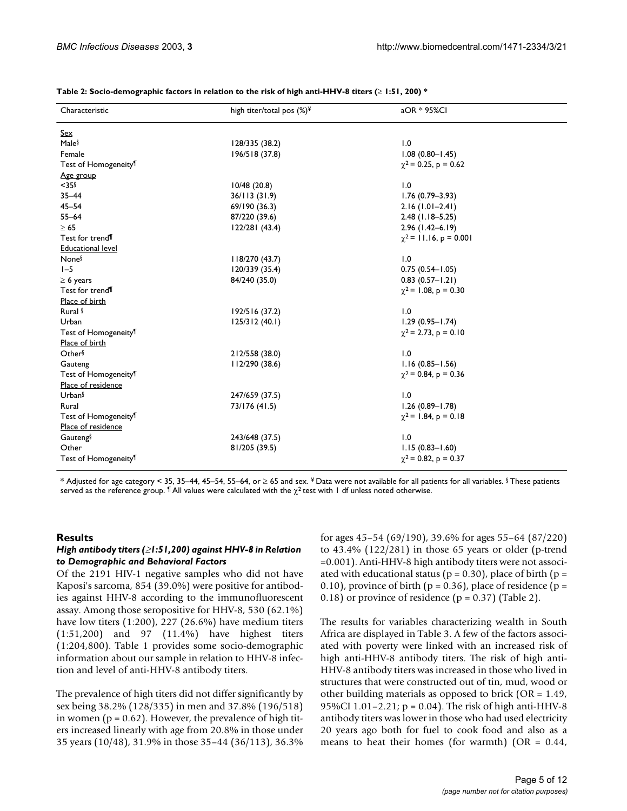| Characteristic                   | high titer/total pos $(\%)^{\frac{1}{2}}$ | aOR * 95%Cl                 |
|----------------------------------|-------------------------------------------|-----------------------------|
| <u>Sex</u>                       |                                           |                             |
| Male <sup>§</sup>                | 128/335 (38.2)                            | 1.0                         |
| Female                           | 196/518 (37.8)                            | $1.08(0.80 - 1.45)$         |
| Test of Homogeneity <sup>¶</sup> |                                           | $\gamma^2$ = 0.25, p = 0.62 |
| Age group                        |                                           |                             |
| $<$ 35 $\frac{5}{3}$             | 10/48(20.8)                               | 1.0                         |
| $35 - 44$                        | 36/113(31.9)                              | $1.76(0.79 - 3.93)$         |
| $45 - 54$                        | 69/190 (36.3)                             | $2.16(1.01 - 2.41)$         |
| $55 - 64$                        | 87/220 (39.6)                             | $2.48$ (1.18-5.25)          |
| $\geq 65$                        | 122/281(43.4)                             | $2.96(1.42 - 6.19)$         |
| Test for trend <sup>¶</sup>      |                                           | $\chi^2$ = 11.16, p = 0.001 |
| <b>Educational level</b>         |                                           |                             |
| None <sup>§</sup>                | 118/270 (43.7)                            | 1.0                         |
| $1-5$                            | 120/339 (35.4)                            | $0.75(0.54 - 1.05)$         |
| $\geq 6$ years                   | 84/240 (35.0)                             | $0.83(0.57 - 1.21)$         |
| Test for trend <sup>1</sup>      |                                           | $\gamma^2$ = 1.08, p = 0.30 |
| Place of birth                   |                                           |                             |
| Rural <sup>§</sup>               | 192/516 (37.2)                            | 1.0                         |
| Urban                            | 125/312(40.1)                             | $1.29(0.95 - 1.74)$         |
| Test of Homogeneity <sup>¶</sup> |                                           | $\gamma^2$ = 2.73, p = 0.10 |
| Place of birth                   |                                           |                             |
| Other                            | 212/558 (38.0)                            | 1.0                         |
| Gauteng                          | 112/290 (38.6)                            | $1.16(0.85 - 1.56)$         |
| Test of Homogeneity <sup>¶</sup> |                                           | $\chi^2$ = 0.84, p = 0.36   |
| Place of residence               |                                           |                             |
| Urban§                           | 247/659 (37.5)                            | 1.0                         |
| Rural                            | 73/176 (41.5)                             | $1.26(0.89 - 1.78)$         |
| Test of Homogeneity <sup>¶</sup> |                                           | $\chi^2$ = 1.84, p = 0.18   |
| Place of residence               |                                           |                             |
| Gauteng <sup>§</sup>             | 243/648 (37.5)                            | 1.0                         |
| Other                            | 81/205 (39.5)                             | $1.15(0.83 - 1.60)$         |
| Test of Homogeneity <sup>¶</sup> |                                           | $\chi^2$ = 0.82, p = 0.37   |

| Table 2: Socio-demographic factors in relation to the risk of high anti-HHV-8 titers ( $\geq$ 1:51, 200) * |  |  |
|------------------------------------------------------------------------------------------------------------|--|--|
|------------------------------------------------------------------------------------------------------------|--|--|

\* Adjusted for age category < 35, 35–44, 45–54, 55–64, or  $\geq 65$  and sex. ¥Data were not available for all patients for all variables. § These patients served as the reference group.  $\text{I}$  All values were calculated with the  $\chi^2$  test with 1 df unless noted otherwise.

#### **Results**

#### *High antibody titers (*≥*1:51,200) against HHV-8 in Relation to Demographic and Behavioral Factors*

Of the 2191 HIV-1 negative samples who did not have Kaposi's sarcoma, 854 (39.0%) were positive for antibodies against HHV-8 according to the immunofluorescent assay. Among those seropositive for HHV-8, 530 (62.1%) have low titers (1:200), 227 (26.6%) have medium titers (1:51,200) and 97 (11.4%) have highest titers (1:204,800). Table 1 provides some socio-demographic information about our sample in relation to HHV-8 infection and level of anti-HHV-8 antibody titers.

The prevalence of high titers did not differ significantly by sex being 38.2% (128/335) in men and 37.8% (196/518) in women ( $p = 0.62$ ). However, the prevalence of high titers increased linearly with age from 20.8% in those under 35 years (10/48), 31.9% in those 35–44 (36/113), 36.3%

for ages 45–54 (69/190), 39.6% for ages 55–64 (87/220) to 43.4% (122/281) in those 65 years or older (p-trend =0.001). Anti-HHV-8 high antibody titers were not associated with educational status ( $p = 0.30$ ), place of birth ( $p = 0.30$ ) 0.10), province of birth ( $p = 0.36$ ), place of residence ( $p =$ 0.18) or province of residence  $(p = 0.37)$  (Table 2).

The results for variables characterizing wealth in South Africa are displayed in Table 3. A few of the factors associated with poverty were linked with an increased risk of high anti-HHV-8 antibody titers. The risk of high anti-HHV-8 antibody titers was increased in those who lived in structures that were constructed out of tin, mud, wood or other building materials as opposed to brick (OR = 1.49, 95%CI 1.01–2.21; p = 0.04). The risk of high anti-HHV-8 antibody titers was lower in those who had used electricity 20 years ago both for fuel to cook food and also as a means to heat their homes (for warmth) ( $OR = 0.44$ ,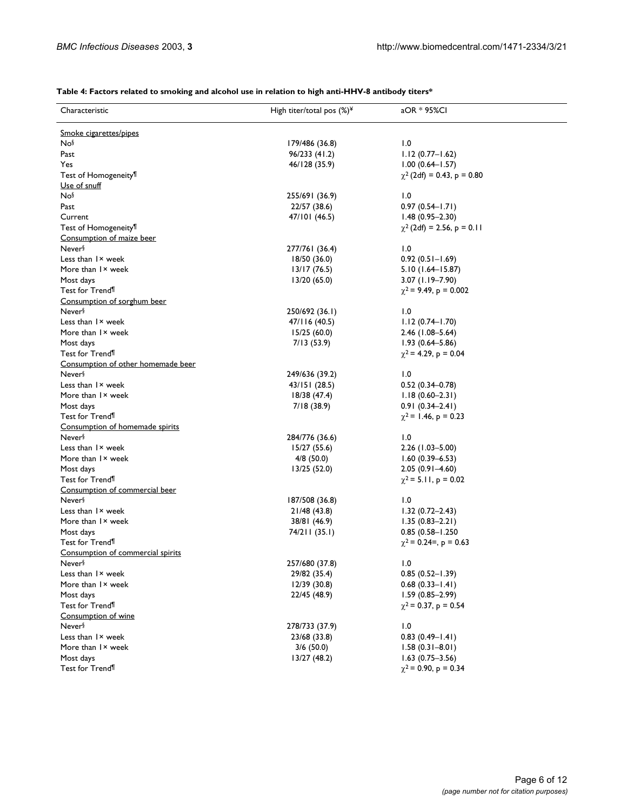### **Table 4: Factors related to smoking and alcohol use in relation to high anti-HHV-8 antibody titers\***

| Characteristic                     | High titer/total pos $(\%)^{\frac{1}{2}}$ | aOR * 95%CI                     |
|------------------------------------|-------------------------------------------|---------------------------------|
| Smoke cigarettes/pipes             |                                           |                                 |
| Nos                                | 179/486 (36.8)                            | 1.0                             |
| Past                               | 96/233 (41.2)                             | $1.12(0.77 - 1.62)$             |
| Yes                                | 46/128 (35.9)                             | $1.00(0.64 - 1.57)$             |
| Test of Homogeneity <sup>¶</sup>   |                                           | $\chi^2$ (2df) = 0.43, p = 0.80 |
| Use of snuff                       |                                           |                                 |
| Nos                                | 255/691 (36.9)                            | 1.0                             |
| Past                               | 22/57 (38.6)                              | $0.97(0.54 - 1.71)$             |
| Current                            | 47/101 (46.5)                             | $1.48(0.95 - 2.30)$             |
| Test of Homogeneity <sup>¶</sup>   |                                           | $\chi^2$ (2df) = 2.56, p = 0.11 |
| Consumption of maize beer          |                                           |                                 |
| Never <sup>§</sup>                 | 277/761 (36.4)                            | 1.0                             |
| Less than I <sup>x</sup> week      | 18/50 (36.0)                              | $0.92(0.51 - 1.69)$             |
| More than I x week                 | 13/17(76.5)                               | $5.10(1.64 - 15.87)$            |
| Most days                          | 13/20(65.0)                               | $3.07$ (1.19-7.90)              |
| Test for Trend <sup>¶</sup>        |                                           |                                 |
|                                    |                                           | $\chi^2$ = 9.49, p = 0.002      |
| Consumption of sorghum beer        |                                           |                                 |
| Never <sup>§</sup>                 | 250/692 (36.1)                            | 1.0                             |
| Less than I <sup>x</sup> week      | 47/116 (40.5)                             | $1.12(0.74 - 1.70)$             |
| More than I × week                 | 15/25(60.0)                               | 2.46 (1.08-5.64)                |
| Most days                          | 7/13(53.9)                                | $1.93(0.64 - 5.86)$             |
| Test for Trend <sup>¶</sup>        |                                           | $\chi^2$ = 4.29, p = 0.04       |
| Consumption of other homemade beer |                                           |                                 |
| Never <sup>§</sup>                 | 249/636 (39.2)                            | 1.0                             |
| Less than I <sup>x</sup> week      | 43/151(28.5)                              | $0.52(0.34 - 0.78)$             |
| More than I × week                 | 18/38 (47.4)                              | $1.18(0.60 - 2.31)$             |
| Most days                          | 7/18 (38.9)                               | $0.91(0.34 - 2.41)$             |
| Test for Trend <sup>¶</sup>        |                                           | $\chi^2$ = 1.46, p = 0.23       |
| Consumption of homemade spirits    |                                           |                                 |
| Never <sup>§</sup>                 | 284/776 (36.6)                            | 1.0                             |
| Less than I <sup>x</sup> week      | 15/27(55.6)                               | $2.26$ (1.03-5.00)              |
| More than I × week                 | $4/8$ (50.0)                              | $1.60(0.39 - 6.53)$             |
| Most days                          | 13/25(52.0)                               | $2.05(0.91 - 4.60)$             |
| Test for Trend <sup>¶</sup>        |                                           | $\chi^2$ = 5.11, p = 0.02       |
| Consumption of commercial beer     |                                           |                                 |
| Never <sup>§</sup>                 | 187/508 (36.8)                            | 1.0                             |
| Less than I <sup>x</sup> week      | 21/48 (43.8)                              | $1.32(0.72 - 2.43)$             |
| More than I x week                 | 38/81 (46.9)                              | $1.35(0.83 - 2.21)$             |
| Most days                          | 74/211 (35.1)                             | 0.85 (0.58-1.250                |
| Test for Trend <sup>¶</sup>        |                                           | $\chi^2$ = 0.24=, p = 0.63      |
| Consumption of commercial spirits  |                                           |                                 |
| Never <sup>§</sup>                 | 257/680 (37.8)                            | 1.0                             |
| Less than I <sup>x</sup> week      | 29/82 (35.4)                              | $0.85(0.52 - 1.39)$             |
| More than I × week                 | 12/39 (30.8)                              | $0.68(0.33 - 1.41)$             |
| Most days                          | 22/45 (48.9)                              | $1.59(0.85 - 2.99)$             |
| Test for Trend <sup>¶</sup>        |                                           | $\chi^2$ = 0.37, p = 0.54       |
| Consumption of wine                |                                           |                                 |
| Never <sup>§</sup>                 | 278/733 (37.9)                            | 1.0                             |
| Less than I <sup>x</sup> week      | 23/68 (33.8)                              | $0.83(0.49 - 1.41)$             |
| More than I x week                 | 3/6(50.0)                                 | $1.58(0.31 - 8.01)$             |
| Most days                          |                                           | $1.63(0.75 - 3.56)$             |
| Test for Trend <sup>¶</sup>        | 13/27 (48.2)                              | $\chi^2$ = 0.90, p = 0.34       |
|                                    |                                           |                                 |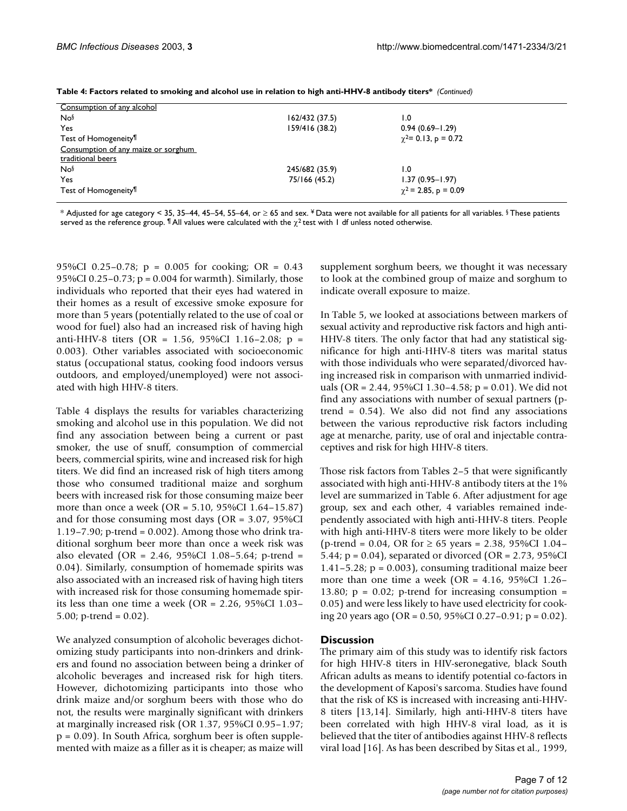| Consumption of any alcohol          |                |                             |  |
|-------------------------------------|----------------|-----------------------------|--|
| Nos                                 | 162/432 (37.5) | 0.۱                         |  |
| Yes                                 | 159/416 (38.2) | $0.94(0.69 - 1.29)$         |  |
| Test of Homogeneity <sup>¶</sup>    |                | $\gamma^2$ = 0.13, p = 0.72 |  |
| Consumption of any maize or sorghum |                |                             |  |
| traditional beers                   |                |                             |  |
| Nos                                 | 245/682 (35.9) | 0.1                         |  |
| Yes                                 | 75/166 (45.2)  | $1.37(0.95 - 1.97)$         |  |
| Test of Homogeneity <sup>¶</sup>    |                | $\gamma^2$ = 2.85, p = 0.09 |  |
|                                     |                |                             |  |

**Table 4: Factors related to smoking and alcohol use in relation to high anti-HHV-8 antibody titers\*** *(Continued)*

\* Adjusted for age category < 35, 35–44, 45–54, 55–64, or ≥ 65 and sex. ¥ Data were not available for all patients for all variables. § These patients served as the reference group.  $\sqrt[n]{\ }$  All values were calculated with the  $\chi^2$  test with 1 df unless noted otherwise.

95%CI 0.25–0.78; p = 0.005 for cooking; OR = 0.43 95%CI 0.25–0.73; p = 0.004 for warmth). Similarly, those individuals who reported that their eyes had watered in their homes as a result of excessive smoke exposure for more than 5 years (potentially related to the use of coal or wood for fuel) also had an increased risk of having high anti-HHV-8 titers (OR = 1.56, 95%CI 1.16–2.08; p = 0.003). Other variables associated with socioeconomic status (occupational status, cooking food indoors versus outdoors, and employed/unemployed) were not associated with high HHV-8 titers.

Table 4 displays the results for variables characterizing smoking and alcohol use in this population. We did not find any association between being a current or past smoker, the use of snuff, consumption of commercial beers, commercial spirits, wine and increased risk for high titers. We did find an increased risk of high titers among those who consumed traditional maize and sorghum beers with increased risk for those consuming maize beer more than once a week (OR = 5.10, 95%CI 1.64–15.87) and for those consuming most days (OR = 3.07, 95%CI 1.19–7.90; p-trend =  $0.002$ ). Among those who drink traditional sorghum beer more than once a week risk was also elevated (OR = 2.46, 95%CI 1.08–5.64; p-trend = 0.04). Similarly, consumption of homemade spirits was also associated with an increased risk of having high titers with increased risk for those consuming homemade spirits less than one time a week (OR = 2.26, 95%CI 1.03– 5.00; p-trend =  $0.02$ ).

We analyzed consumption of alcoholic beverages dichotomizing study participants into non-drinkers and drinkers and found no association between being a drinker of alcoholic beverages and increased risk for high titers. However, dichotomizing participants into those who drink maize and/or sorghum beers with those who do not, the results were marginally significant with drinkers at marginally increased risk (OR 1.37, 95%CI 0.95–1.97; p = 0.09). In South Africa, sorghum beer is often supplemented with maize as a filler as it is cheaper; as maize will

supplement sorghum beers, we thought it was necessary to look at the combined group of maize and sorghum to indicate overall exposure to maize.

In Table 5, we looked at associations between markers of sexual activity and reproductive risk factors and high anti-HHV-8 titers. The only factor that had any statistical significance for high anti-HHV-8 titers was marital status with those individuals who were separated/divorced having increased risk in comparison with unmarried individuals (OR = 2.44, 95%CI 1.30–4.58; p = 0.01). We did not find any associations with number of sexual partners (ptrend = 0.54). We also did not find any associations between the various reproductive risk factors including age at menarche, parity, use of oral and injectable contraceptives and risk for high HHV-8 titers.

Those risk factors from Tables 2–5 that were significantly associated with high anti-HHV-8 antibody titers at the 1% level are summarized in Table 6. After adjustment for age group, sex and each other, 4 variables remained independently associated with high anti-HHV-8 titers. People with high anti-HHV-8 titers were more likely to be older (p-trend = 0.04, OR for ≥ 65 years = 2.38, 95%CI 1.04– 5.44; p = 0.04), separated or divorced (OR = 2.73, 95%CI 1.41–5.28;  $p = 0.003$ , consuming traditional maize beer more than one time a week (OR =  $4.16$ , 95%CI 1.26– 13.80;  $p = 0.02$ ; p-trend for increasing consumption = 0.05) and were less likely to have used electricity for cooking 20 years ago (OR = 0.50, 95%CI 0.27–0.91; p = 0.02).

#### **Discussion**

The primary aim of this study was to identify risk factors for high HHV-8 titers in HIV-seronegative, black South African adults as means to identify potential co-factors in the development of Kaposi's sarcoma. Studies have found that the risk of KS is increased with increasing anti-HHV-8 titers [13,14]. Similarly, high anti-HHV-8 titers have been correlated with high HHV-8 viral load, as it is believed that the titer of antibodies against HHV-8 reflects viral load [16]. As has been described by Sitas et al., 1999,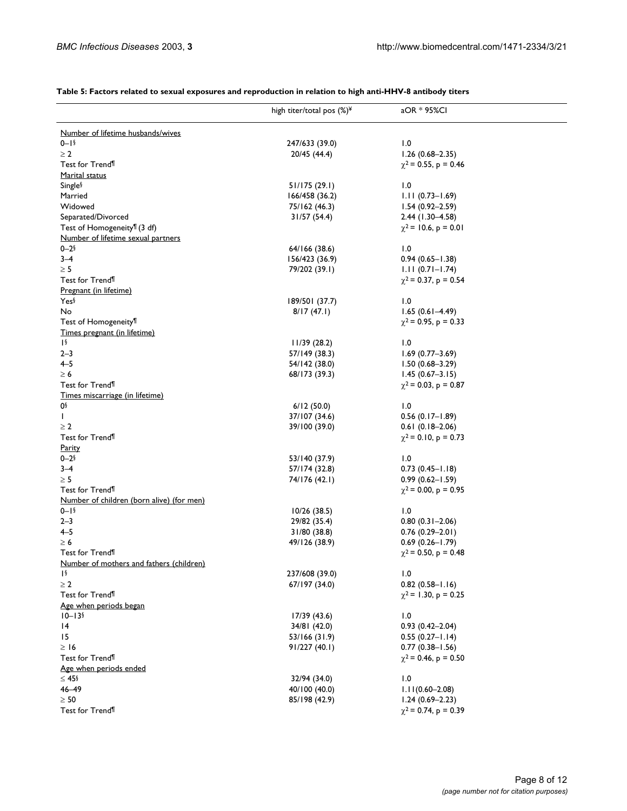#### **Table 5: Factors related to sexual exposures and reproduction in relation to high anti-HHV-8 antibody titers**

|                                           | high titer/total pos $(\%)^{\frac{1}{2}}$ | aOR * 95%CI                                      |
|-------------------------------------------|-------------------------------------------|--------------------------------------------------|
|                                           |                                           |                                                  |
| Number of lifetime husbands/wives         |                                           |                                                  |
| $0 - 1$                                   | 247/633 (39.0)                            | 1.0                                              |
| $\geq 2$                                  | 20/45 (44.4)                              | $1.26(0.68 - 2.35)$                              |
| Test for Trend <sup>¶</sup>               |                                           | $\chi^2$ = 0.55, p = 0.46                        |
| Marital status                            |                                           |                                                  |
| Single <sup>§</sup>                       | 51/175(29.1)                              | 1.0                                              |
| Married                                   | 166/458 (36.2)                            | $1.11(0.73 - 1.69)$                              |
| Widowed                                   | 75/162 (46.3)                             | $1.54(0.92 - 2.59)$                              |
| Separated/Divorced                        | 31/57(54.4)                               | $2.44$ (1.30-4.58)                               |
| Test of Homogeneity <sup>¶</sup> (3 df)   |                                           | $\chi^2$ = 10.6, p = 0.01                        |
| Number of lifetime sexual partners        |                                           |                                                  |
| $0 - 2$                                   | 64/166 (38.6)                             | 1.0                                              |
| $3 - 4$                                   | 156/423 (36.9)                            | $0.94(0.65 - 1.38)$                              |
| $\geq 5$                                  | 79/202 (39.1)                             | $1.11(0.71 - 1.74)$                              |
| Test for Trend <sup>¶</sup>               |                                           | $\chi^2$ = 0.37, p = 0.54                        |
| Pregnant (in lifetime)<br>Yes             | 189/501 (37.7)                            | 1.0                                              |
| No                                        | 8/17(47.1)                                | $1.65(0.61 - 4.49)$                              |
| Test of Homogeneity <sup>¶</sup>          |                                           | $\chi^2$ = 0.95, p = 0.33                        |
| Times pregnant (in lifetime)              |                                           |                                                  |
| $\sqrt{2}$                                | 11/39(28.2)                               | 1.0                                              |
| $2 - 3$                                   | 57/149 (38.3)                             | $1.69(0.77 - 3.69)$                              |
| $4 - 5$                                   | 54/142 (38.0)                             | $1.50(0.68 - 3.29)$                              |
| $\geq 6$                                  | 68/173 (39.3)                             | $1.45(0.67 - 3.15)$                              |
| Test for Trend <sup>¶</sup>               |                                           | $\chi^2$ = 0.03, p = 0.87                        |
| Times miscarriage (in lifetime)           |                                           |                                                  |
| 0۶                                        | 6/12(50.0)                                | 1.0                                              |
| L                                         | 37/107 (34.6)                             | $0.56(0.17 - 1.89)$                              |
| $\geq 2$                                  | 39/100 (39.0)                             | $0.61(0.18-2.06)$                                |
| Test for Trend <sup>¶</sup>               |                                           | $\chi^2$ = 0.10, p = 0.73                        |
| <b>Parity</b>                             |                                           |                                                  |
| $0 - 2$                                   | 53/140 (37.9)                             | 1.0                                              |
| $3 - 4$                                   | 57/174 (32.8)                             | $0.73(0.45 - 1.18)$                              |
| $\geq 5$                                  | 74/176 (42.1)                             | $0.99(0.62 - 1.59)$                              |
| Test for Trend <sup>¶</sup>               |                                           | $\chi^2$ = 0.00, p = 0.95                        |
| Number of children (born alive) (for men) |                                           |                                                  |
| $0 - 1$                                   | 10/26(38.5)                               | 1.0                                              |
| $2 - 3$                                   | 29/82 (35.4)                              | $0.80(0.31 - 2.06)$                              |
| $4 - 5$                                   | 31/80 (38.8)                              | $0.76(0.29 - 2.01)$                              |
| $\geq 6$                                  | 49/126 (38.9)                             | $0.69(0.26 - 1.79)$                              |
| Test for Trend <sup>¶</sup>               |                                           | $\chi^2$ = 0.50, p = 0.48                        |
| Number of mothers and fathers (children)  |                                           |                                                  |
| $\sqrt{2}$                                | 237/608 (39.0)                            | 1.0                                              |
| $\geq 2$<br>Test for Trend <sup>¶</sup>   | 67/197 (34.0)                             | $0.82(0.58 - 1.16)$<br>$\chi^2$ = 1.30, p = 0.25 |
| Age when periods began                    |                                           |                                                  |
| $10 - 13$                                 | 17/39(43.6)                               | 1.0                                              |
| 4                                         | 34/81 (42.0)                              | $0.93(0.42 - 2.04)$                              |
| 15                                        | 53/166 (31.9)                             | $0.55(0.27 - 1.14)$                              |
| $\geq$ 16                                 | 91/227(40.1)                              | $0.77(0.38 - 1.56)$                              |
| Test for Trend <sup>¶</sup>               |                                           | $\chi^2$ = 0.46, p = 0.50                        |
| Age when periods ended                    |                                           |                                                  |
| $≤ 45$ §                                  | 32/94 (34.0)                              | 1.0                                              |
| 46-49                                     | 40/100 (40.0)                             | $1.11(0.60 - 2.08)$                              |
| $\geq 50$                                 | 85/198 (42.9)                             | $1.24(0.69 - 2.23)$                              |
| Test for Trend <sup>¶</sup>               |                                           | $\chi^2$ = 0.74, p = 0.39                        |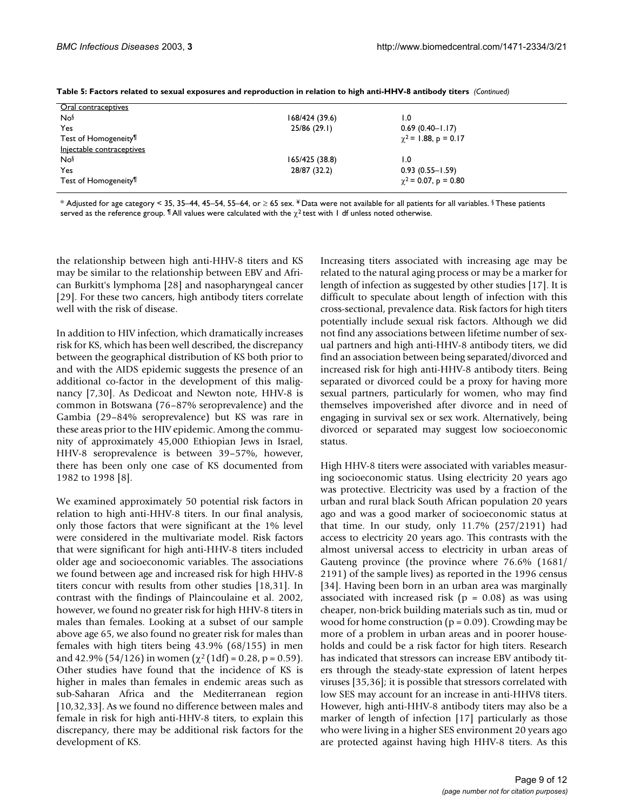| Oral contraceptives               |                |                           |  |
|-----------------------------------|----------------|---------------------------|--|
| Nos                               | 168/424 (39.6) | 0. ا                      |  |
| <b>Yes</b>                        | 25/86(29.1)    | $0.69(0.40 - 1.17)$       |  |
| Test of Homogeneity <sup>11</sup> |                | $\chi^2$ = 1.88, p = 0.17 |  |
| Injectable contraceptives         |                |                           |  |
| Nos                               | 165/425 (38.8) | 0. ا                      |  |
| Yes                               | 28/87 (32.2)   | $0.93(0.55 - 1.59)$       |  |
| Test of Homogeneity <sup>¶</sup>  |                | $\chi^2$ = 0.07, p = 0.80 |  |
|                                   |                |                           |  |

|  |  | Table 5: Factors related to sexual exposures and reproduction in relation to high anti-HHV-8 antibody titers (Continued) |  |  |
|--|--|--------------------------------------------------------------------------------------------------------------------------|--|--|
|--|--|--------------------------------------------------------------------------------------------------------------------------|--|--|

\* Adjusted for age category < 35, 35–44, 45–54, 55–64, or ≥ 65 sex. ¥ Data were not available for all patients for all variables. § These patients served as the reference group.  $\blacksquare$  All values were calculated with the  $\chi^2$  test with 1 df unless noted otherwise.

the relationship between high anti-HHV-8 titers and KS may be similar to the relationship between EBV and African Burkitt's lymphoma [28] and nasopharyngeal cancer [29]. For these two cancers, high antibody titers correlate well with the risk of disease.

In addition to HIV infection, which dramatically increases risk for KS, which has been well described, the discrepancy between the geographical distribution of KS both prior to and with the AIDS epidemic suggests the presence of an additional co-factor in the development of this malignancy [7,30]. As Dedicoat and Newton note, HHV-8 is common in Botswana (76–87% seroprevalence) and the Gambia (29–84% seroprevalence) but KS was rare in these areas prior to the HIV epidemic. Among the community of approximately 45,000 Ethiopian Jews in Israel, HHV-8 seroprevalence is between 39–57%, however, there has been only one case of KS documented from 1982 to 1998 [8].

We examined approximately 50 potential risk factors in relation to high anti-HHV-8 titers. In our final analysis, only those factors that were significant at the 1% level were considered in the multivariate model. Risk factors that were significant for high anti-HHV-8 titers included older age and socioeconomic variables. The associations we found between age and increased risk for high HHV-8 titers concur with results from other studies [18,31]. In contrast with the findings of Plaincoulaine et al. 2002, however, we found no greater risk for high HHV-8 titers in males than females. Looking at a subset of our sample above age 65, we also found no greater risk for males than females with high titers being 43.9% (68/155) in men and 42.9% (54/126) in women ( $\chi^2$  (1df) = 0.28, p = 0.59). Other studies have found that the incidence of KS is higher in males than females in endemic areas such as sub-Saharan Africa and the Mediterranean region [10,32,33]. As we found no difference between males and female in risk for high anti-HHV-8 titers, to explain this discrepancy, there may be additional risk factors for the development of KS.

Increasing titers associated with increasing age may be related to the natural aging process or may be a marker for length of infection as suggested by other studies [17]. It is difficult to speculate about length of infection with this cross-sectional, prevalence data. Risk factors for high titers potentially include sexual risk factors. Although we did not find any associations between lifetime number of sexual partners and high anti-HHV-8 antibody titers, we did find an association between being separated/divorced and increased risk for high anti-HHV-8 antibody titers. Being separated or divorced could be a proxy for having more sexual partners, particularly for women, who may find themselves impoverished after divorce and in need of engaging in survival sex or sex work. Alternatively, being divorced or separated may suggest low socioeconomic status.

High HHV-8 titers were associated with variables measuring socioeconomic status. Using electricity 20 years ago was protective. Electricity was used by a fraction of the urban and rural black South African population 20 years ago and was a good marker of socioeconomic status at that time. In our study, only 11.7% (257/2191) had access to electricity 20 years ago. This contrasts with the almost universal access to electricity in urban areas of Gauteng province (the province where 76.6% (1681/ 2191) of the sample lives) as reported in the 1996 census [34]. Having been born in an urban area was marginally associated with increased risk ( $p = 0.08$ ) as was using cheaper, non-brick building materials such as tin, mud or wood for home construction ( $p = 0.09$ ). Crowding may be more of a problem in urban areas and in poorer households and could be a risk factor for high titers. Research has indicated that stressors can increase EBV antibody titers through the steady-state expression of latent herpes viruses [35,36]; it is possible that stressors correlated with low SES may account for an increase in anti-HHV8 titers. However, high anti-HHV-8 antibody titers may also be a marker of length of infection [17] particularly as those who were living in a higher SES environment 20 years ago are protected against having high HHV-8 titers. As this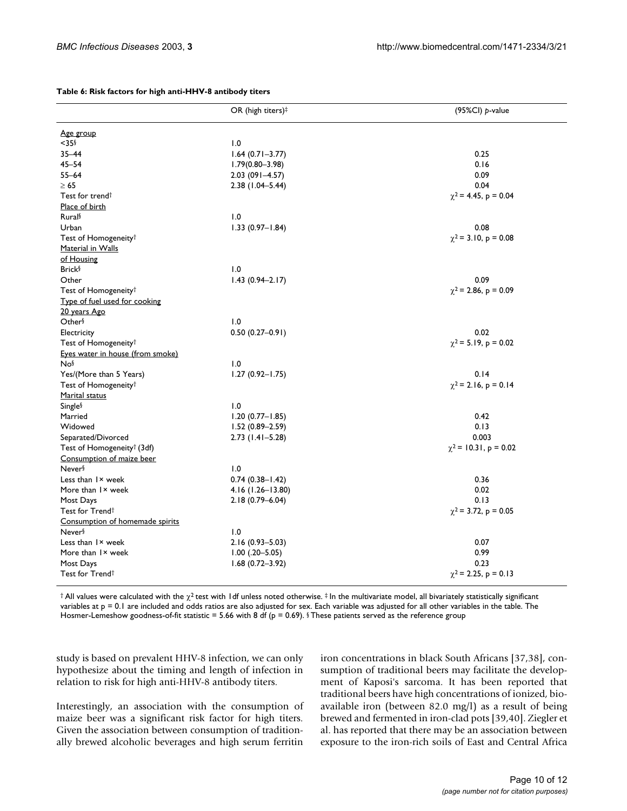|                                        | OR (high titers) <sup>‡</sup> | (95%Cl) p-value            |
|----------------------------------------|-------------------------------|----------------------------|
|                                        |                               |                            |
| <u>Age group</u>                       |                               |                            |
| $<$ 35 $\frac{5}{3}$                   | 1.0                           |                            |
| $35 - 44$                              | $1.64(0.71 - 3.77)$           | 0.25                       |
| $45 - 54$                              | $1.79(0.80 - 3.98)$           | 0.16                       |
| $55 - 64$                              | $2.03(091 - 4.57)$            | 0.09                       |
| $\geq 65$                              | $2.38(1.04 - 5.44)$           | 0.04                       |
| Test for trend <sup>†</sup>            |                               | $\chi^2$ = 4.45, p = 0.04  |
| Place of birth                         |                               |                            |
| Rural <sup>§</sup>                     | 1.0                           |                            |
| Urban                                  | $1.33(0.97 - 1.84)$           | 0.08                       |
| Test of Homogeneity <sup>†</sup>       |                               | $\chi^2$ = 3.10, p = 0.08  |
| Material in Walls                      |                               |                            |
| of Housing                             |                               |                            |
| <b>Brick</b> §                         | 1.0                           |                            |
| Other                                  | $1.43(0.94 - 2.17)$           | 0.09                       |
| Test of Homogeneity <sup>†</sup>       |                               | $\chi^2$ = 2.86, p = 0.09  |
| Type of fuel used for cooking          |                               |                            |
| 20 years Ago                           |                               |                            |
| Other <sup>§</sup>                     | 1.0                           |                            |
| Electricity                            | $0.50(0.27 - 0.91)$           | 0.02                       |
| Test of Homogeneity <sup>†</sup>       |                               | $\chi^2$ = 5.19, p = 0.02  |
| Eyes water in house (from smoke)       |                               |                            |
| Nos                                    | 1.0                           |                            |
| Yes/(More than 5 Years)                | $1.27(0.92 - 1.75)$           | 0.14                       |
| Test of Homogeneity <sup>†</sup>       |                               | $\chi^2$ = 2.16, p = 0.14  |
| <b>Marital status</b>                  |                               |                            |
| <b>Single</b> <sup>§</sup>             | 1.0                           |                            |
| Married                                | $1.20(0.77 - 1.85)$           | 0.42                       |
| Widowed                                | $1.52(0.89 - 2.59)$           | 0.13                       |
| Separated/Divorced                     | $2.73$ (1.41-5.28)            | 0.003                      |
| Test of Homogeneity <sup>†</sup> (3df) |                               | $\chi^2$ = 10.31, p = 0.02 |
| Consumption of maize beer              |                               |                            |
| Never <sup>§</sup>                     | 1.0                           |                            |
| Less than I × week                     | $0.74(0.38 - 1.42)$           | 0.36                       |
| More than I × week                     | 4.16 (1.26-13.80)             | 0.02                       |
| Most Days                              | 2.18 (0.79-6.04)              | 0.13                       |
| Test for Trend <sup>†</sup>            |                               | $\chi^2$ = 3.72, p = 0.05  |
| Consumption of homemade spirits        |                               |                            |
| Never <sup>§</sup>                     | 1.0                           |                            |
| Less than I × week                     | 2.16 (0.93–5.03)              | 0.07                       |
| More than I × week                     | $1.00$ $(.20 - 5.05)$         | 0.99                       |
| Most Days                              | $1.68(0.72 - 3.92)$           | 0.23                       |
| Test for Trend <sup>†</sup>            |                               | $\chi^2$ = 2.25, p = 0.13  |
|                                        |                               |                            |

#### **Table 6: Risk factors for high anti-HHV-8 antibody titers**

 $\dagger$  All values were calculated with the  $\chi^2$  test with 1df unless noted otherwise.  $\dagger$  In the multivariate model, all bivariately statistically significant variables at  $p = 0$ . I are included and odds ratios are also adjusted for sex. Each variable was adjusted for all other variables in the table. The Hosmer-Lemeshow goodness-of-fit statistic = 5.66 with 8 df (p = 0.69). § These patients served as the reference group

study is based on prevalent HHV-8 infection, we can only hypothesize about the timing and length of infection in relation to risk for high anti-HHV-8 antibody titers.

Interestingly, an association with the consumption of maize beer was a significant risk factor for high titers. Given the association between consumption of traditionally brewed alcoholic beverages and high serum ferritin iron concentrations in black South Africans [37,38], consumption of traditional beers may facilitate the development of Kaposi's sarcoma. It has been reported that traditional beers have high concentrations of ionized, bioavailable iron (between 82.0 mg/l) as a result of being brewed and fermented in iron-clad pots [39,40]. Ziegler et al. has reported that there may be an association between exposure to the iron-rich soils of East and Central Africa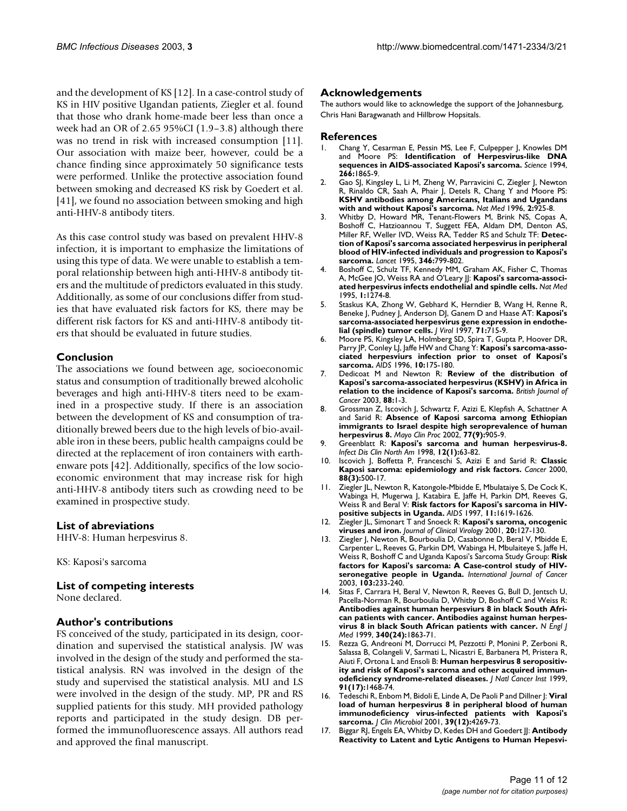and the development of KS [12]. In a case-control study of KS in HIV positive Ugandan patients, Ziegler et al. found that those who drank home-made beer less than once a week had an OR of 2.65 95%CI (1.9–3.8) although there was no trend in risk with increased consumption [11]. Our association with maize beer, however, could be a chance finding since approximately 50 significance tests were performed. Unlike the protective association found between smoking and decreased KS risk by Goedert et al. [41], we found no association between smoking and high anti-HHV-8 antibody titers.

As this case control study was based on prevalent HHV-8 infection, it is important to emphasize the limitations of using this type of data. We were unable to establish a temporal relationship between high anti-HHV-8 antibody titers and the multitude of predictors evaluated in this study. Additionally, as some of our conclusions differ from studies that have evaluated risk factors for KS, there may be different risk factors for KS and anti-HHV-8 antibody titers that should be evaluated in future studies.

#### **Conclusion**

The associations we found between age, socioeconomic status and consumption of traditionally brewed alcoholic beverages and high anti-HHV-8 titers need to be examined in a prospective study. If there is an association between the development of KS and consumption of traditionally brewed beers due to the high levels of bio-available iron in these beers, public health campaigns could be directed at the replacement of iron containers with earthenware pots [42]. Additionally, specifics of the low socioeconomic environment that may increase risk for high anti-HHV-8 antibody titers such as crowding need to be examined in prospective study.

#### **List of abreviations**

HHV-8: Human herpesvirus 8.

KS: Kaposi's sarcoma

#### **List of competing interests**

None declared.

#### **Author's contributions**

FS conceived of the study, participated in its design, coordination and supervised the statistical analysis. JW was involved in the design of the study and performed the statistical analysis. RN was involved in the design of the study and supervised the statistical analysis. MU and LS were involved in the design of the study. MP, PR and RS supplied patients for this study. MH provided pathology reports and participated in the study design. DB performed the immunofluorescence assays. All authors read and approved the final manuscript.

#### **Acknowledgements**

The authors would like to acknowledge the support of the Johannesburg, Chris Hani Baragwanath and Hillbrow Hopsitals.

#### **References**

- 1. Chang Y, Cesarman E, Pessin MS, Lee F, Culpepper J, Knowles DM and Moore PS: **[Identification of Herpesvirus-like DNA](http://www.ncbi.nlm.nih.gov/entrez/query.fcgi?cmd=Retrieve&db=PubMed&dopt=Abstract&list_uids=7997879) [sequences in AIDS-associated Kaposi's sarcoma.](http://www.ncbi.nlm.nih.gov/entrez/query.fcgi?cmd=Retrieve&db=PubMed&dopt=Abstract&list_uids=7997879)** *Science* 1994, **266:**1865-9.
- 2. Gao SJ, Kingsley L, Li M, Zheng W, Parravicini C, Ziegler J, Newton R, Rinaldo CR, Saah A, Phair J, Detels R, Chang Y and Moore PS: **[KSHV antibodies among Americans, Italians and Ugandans](http://www.ncbi.nlm.nih.gov/entrez/query.fcgi?cmd=Retrieve&db=PubMed&dopt=Abstract&list_uids=8705864) [with and without Kaposi's sarcoma.](http://www.ncbi.nlm.nih.gov/entrez/query.fcgi?cmd=Retrieve&db=PubMed&dopt=Abstract&list_uids=8705864)** *Nat Med* 1996, **2:**925-8.
- 3. Whitby D, Howard MR, Tenant-Flowers M, Brink NS, Copas A, Boshoff C, Hatzioannou T, Suggett FEA, Aldam DM, Denton AS, Miller RF, Weller IVD, Weiss RA, Tedder RS and Schulz TF: **[Detec](http://www.ncbi.nlm.nih.gov/entrez/query.fcgi?cmd=Retrieve&db=PubMed&dopt=Abstract&list_uids=10.1016/S0140-6736(95)91619-9)[tion of Kaposi's sarcoma associated herpesvirus in peripheral](http://www.ncbi.nlm.nih.gov/entrez/query.fcgi?cmd=Retrieve&db=PubMed&dopt=Abstract&list_uids=10.1016/S0140-6736(95)91619-9) blood of HIV-infected individuals and progression to Kaposi's [sarcoma](http://www.ncbi.nlm.nih.gov/entrez/query.fcgi?cmd=Retrieve&db=PubMed&dopt=Abstract&list_uids=10.1016/S0140-6736(95)91619-9)[.](http://www.ncbi.nlm.nih.gov/entrez/query.fcgi?cmd=Retrieve&db=PubMed&dopt=Abstract&list_uids=7674745)** *Lancet* 1995, **346:**799-802.
- 4. Boshoff C, Schulz TF, Kennedy MM, Graham AK, Fisher C, Thomas A, McGee |O, Weiss RA and O'Leary ||: [Kaposi's sarcoma-associ](http://www.ncbi.nlm.nih.gov/entrez/query.fcgi?cmd=Retrieve&db=PubMed&dopt=Abstract&list_uids=7489408)**[ated herpesvirus infects endothelial and spindle cells.](http://www.ncbi.nlm.nih.gov/entrez/query.fcgi?cmd=Retrieve&db=PubMed&dopt=Abstract&list_uids=7489408)** *Nat Med* 1995, **1:**1274-8.
- 5. Staskus KA, Zhong W, Gebhard K, Herndier B, Wang H, Renne R, Beneke J, Pudney J, Anderson DJ, Ganem D and Haase AT: **[Kaposi's](http://www.ncbi.nlm.nih.gov/entrez/query.fcgi?cmd=Retrieve&db=PubMed&dopt=Abstract&list_uids=191104) [sarcoma-associated herpesvirus gene expression in endothe](http://www.ncbi.nlm.nih.gov/entrez/query.fcgi?cmd=Retrieve&db=PubMed&dopt=Abstract&list_uids=191104)[lial \(spindle\) tumor cells](http://www.ncbi.nlm.nih.gov/entrez/query.fcgi?cmd=Retrieve&db=PubMed&dopt=Abstract&list_uids=191104)[.](http://www.ncbi.nlm.nih.gov/entrez/query.fcgi?cmd=Retrieve&db=PubMed&dopt=Abstract&list_uids=8985403)** *J Virol* 1997, **71:**715-9.
- 6. Moore PS, Kingsley LA, Holmberg SD, Spira T, Gupta P, Hoover DR, Parry JP, Conley LJ, Jaffe HW and Chang Y: **[Kaposi's sarcoma-asso](http://www.ncbi.nlm.nih.gov/entrez/query.fcgi?cmd=Retrieve&db=PubMed&dopt=Abstract&list_uids=8838705)[ciated herpesviurs infection prior to onset of Kaposi's](http://www.ncbi.nlm.nih.gov/entrez/query.fcgi?cmd=Retrieve&db=PubMed&dopt=Abstract&list_uids=8838705) [sarcoma.](http://www.ncbi.nlm.nih.gov/entrez/query.fcgi?cmd=Retrieve&db=PubMed&dopt=Abstract&list_uids=8838705)** *AIDS* 1996, **10:**175-180.
- 7. Dedicoat M and Newton R: **[Review of the distribution of](http://www.ncbi.nlm.nih.gov/entrez/query.fcgi?cmd=Retrieve&db=PubMed&dopt=Abstract&list_uids=10.1038/sj.bjc.6600745) [Kaposi's sarcoma-associated herpesvirus \(KSHV\) in Africa in](http://www.ncbi.nlm.nih.gov/entrez/query.fcgi?cmd=Retrieve&db=PubMed&dopt=Abstract&list_uids=10.1038/sj.bjc.6600745) [relation to the incidence of Kaposi's sarcoma](http://www.ncbi.nlm.nih.gov/entrez/query.fcgi?cmd=Retrieve&db=PubMed&dopt=Abstract&list_uids=10.1038/sj.bjc.6600745)[.](http://www.ncbi.nlm.nih.gov/entrez/query.fcgi?cmd=Retrieve&db=PubMed&dopt=Abstract&list_uids=12556950)** *British Journal of Cancer* 2003, **88:**1-3.
- 8. Grossman Z, Iscovich J, Schwartz F, Azizi E, Klepfish A, Schattner A and Sarid R: **[Absence of Kaposi sarcoma among Ethiopian](http://www.ncbi.nlm.nih.gov/entrez/query.fcgi?cmd=Retrieve&db=PubMed&dopt=Abstract&list_uids=12233922) [immigrants to Israel despite high seroprevalence of human](http://www.ncbi.nlm.nih.gov/entrez/query.fcgi?cmd=Retrieve&db=PubMed&dopt=Abstract&list_uids=12233922) [herpesvirus 8.](http://www.ncbi.nlm.nih.gov/entrez/query.fcgi?cmd=Retrieve&db=PubMed&dopt=Abstract&list_uids=12233922)** *Mayo Clin Proc* 2002, **77(9):**905-9.
- 9. Greenblatt R: **[Kaposi's sarcoma and human herpesvirus-8.](http://www.ncbi.nlm.nih.gov/entrez/query.fcgi?cmd=Retrieve&db=PubMed&dopt=Abstract&list_uids=9494830)** *Infect Dis Clin North Am* 1998, **12(1):**63-82.
- 10. Iscovich J, Boffetta P, Franceschi S, Azizi E and Sarid R: **[Classic](http://www.ncbi.nlm.nih.gov/entrez/query.fcgi?cmd=Retrieve&db=PubMed&dopt=Abstract&list_uids=10.1002/(SICI)1097-0142(20000201)88:3<500::AID-CNCR3>3.3.CO;2-0) [Kaposi sarcoma: epidemiology and risk factors](http://www.ncbi.nlm.nih.gov/entrez/query.fcgi?cmd=Retrieve&db=PubMed&dopt=Abstract&list_uids=10.1002/(SICI)1097-0142(20000201)88:3<500::AID-CNCR3>3.3.CO;2-0)[.](http://www.ncbi.nlm.nih.gov/entrez/query.fcgi?cmd=Retrieve&db=PubMed&dopt=Abstract&list_uids=10649240)** *Cancer* 2000, **88(3):**500-17.
- 11. Ziegler JL, Newton R, Katongole-Mbidde E, Mbulataiye S, De Cock K, Wabinga H, Mugerwa J, Katabira E, Jaffe H, Parkin DM, Reeves G, Weiss R and Beral V: **[Risk factors for Kaposi's sarcoma in HIV](http://www.ncbi.nlm.nih.gov/entrez/query.fcgi?cmd=Retrieve&db=PubMed&dopt=Abstract&list_uids=10.1097/00002030-199713000-00011)[positive subjects in Uganda](http://www.ncbi.nlm.nih.gov/entrez/query.fcgi?cmd=Retrieve&db=PubMed&dopt=Abstract&list_uids=10.1097/00002030-199713000-00011)[.](http://www.ncbi.nlm.nih.gov/entrez/query.fcgi?cmd=Retrieve&db=PubMed&dopt=Abstract&list_uids=9365767)** *AIDS* 1997, **11:**1619-1626.
- 12. Ziegler JL, Simonart T and Snoeck R: **[Kaposi's saroma, oncogenic](http://www.ncbi.nlm.nih.gov/entrez/query.fcgi?cmd=Retrieve&db=PubMed&dopt=Abstract&list_uids=10.1016/S1386-6532(00)00137-2) [viruses and iron](http://www.ncbi.nlm.nih.gov/entrez/query.fcgi?cmd=Retrieve&db=PubMed&dopt=Abstract&list_uids=10.1016/S1386-6532(00)00137-2)[.](http://www.ncbi.nlm.nih.gov/entrez/query.fcgi?cmd=Retrieve&db=PubMed&dopt=Abstract&list_uids=11166660)** *Journal of Clinical Virology* 2001, **20:**127-130.
- 13. Ziegler J, Newton R, Bourboulia D, Casabonne D, Beral V, Mbidde E, Carpenter L, Reeves G, Parkin DM, Wabinga H, Mbulaiteye S, Jaffe H, Weiss R, Boshoff C and Uganda Kaposi's Sarcoma Study Group: **[Risk](http://www.ncbi.nlm.nih.gov/entrez/query.fcgi?cmd=Retrieve&db=PubMed&dopt=Abstract&list_uids=10.1002/ijc.10818) [factors for Kaposi's sarcoma: A Case-control study of HIV](http://www.ncbi.nlm.nih.gov/entrez/query.fcgi?cmd=Retrieve&db=PubMed&dopt=Abstract&list_uids=10.1002/ijc.10818)[seronegative people in Uganda.](http://www.ncbi.nlm.nih.gov/entrez/query.fcgi?cmd=Retrieve&db=PubMed&dopt=Abstract&list_uids=10.1002/ijc.10818)** *International Journal of Cancer* 2003, **103:**233-240.
- 14. Sitas F, Carrara H, Beral V, Newton R, Reeves G, Bull D, Jentsch U, Pacella-Norman R, Bourboulia D, Whitby D, Boshoff C and Weiss R: **[Antibodies against human herpesviurs 8 in black South Afri](http://www.ncbi.nlm.nih.gov/entrez/query.fcgi?cmd=Retrieve&db=PubMed&dopt=Abstract&list_uids=10.1056/NEJM199906173402403)can patients with cancer. Antibodies against human herpes[virus 8 in black South African patients with cancer](http://www.ncbi.nlm.nih.gov/entrez/query.fcgi?cmd=Retrieve&db=PubMed&dopt=Abstract&list_uids=10.1056/NEJM199906173402403)[.](http://www.ncbi.nlm.nih.gov/entrez/query.fcgi?cmd=Retrieve&db=PubMed&dopt=Abstract&list_uids=10369849)** *N Engl J Med* 1999, **340(24):**1863-71.
- 15. Rezza G, Andreoni M, Dorrucci M, Pezzotti P, Monini P, Zerboni R, Salassa B, Colangeli V, Sarmati L, Nicastri E, Barbanera M, Pristera R, Aiuti F, Ortona L and Ensoli B: **[Human herpesvirus 8 seropositiv](http://www.ncbi.nlm.nih.gov/entrez/query.fcgi?cmd=Retrieve&db=PubMed&dopt=Abstract&list_uids=10.1093/jnci/91.17.1468)[ity and risk of Kaposi's sarcoma and other acquired immun](http://www.ncbi.nlm.nih.gov/entrez/query.fcgi?cmd=Retrieve&db=PubMed&dopt=Abstract&list_uids=10.1093/jnci/91.17.1468)[odeficiency syndrome-related diseases](http://www.ncbi.nlm.nih.gov/entrez/query.fcgi?cmd=Retrieve&db=PubMed&dopt=Abstract&list_uids=10.1093/jnci/91.17.1468)[.](http://www.ncbi.nlm.nih.gov/entrez/query.fcgi?cmd=Retrieve&db=PubMed&dopt=Abstract&list_uids=10469747)** *J Natl Cancer Inst* 1999, **91(17):**1468-74.
- 16. Tedeschi R, Enbom M, Bidoli E, Linde A, De Paoli P and Dillner J: **[Viral](http://www.ncbi.nlm.nih.gov/entrez/query.fcgi?cmd=Retrieve&db=PubMed&dopt=Abstract&list_uids=88535) load of human herpesvirus 8 in peripheral blood of human [immunodeficiency virus-infected patients with Kaposi's](http://www.ncbi.nlm.nih.gov/entrez/query.fcgi?cmd=Retrieve&db=PubMed&dopt=Abstract&list_uids=88535) [sarcoma](http://www.ncbi.nlm.nih.gov/entrez/query.fcgi?cmd=Retrieve&db=PubMed&dopt=Abstract&list_uids=88535)[.](http://www.ncbi.nlm.nih.gov/entrez/query.fcgi?cmd=Retrieve&db=PubMed&dopt=Abstract&list_uids=10.1128/JCM.39.12.4269-4273.2001)** *J Clin Microbiol* 2001, **39(12):**4269-73.
- 17. Biggar RJ, Engels EA, Whitby D, Kedes DH and Goedert JJ: **Antibody Reactivity to Latent and Lytic Antigens to Human Hepesvi-**